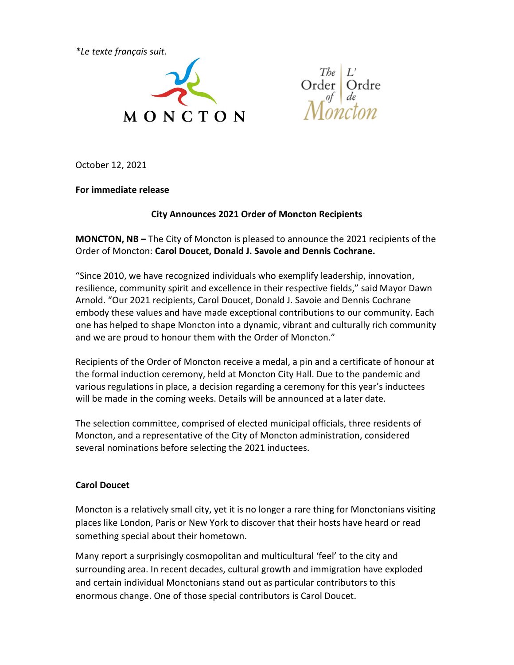*\*Le texte français suit.*



Order Ordre

October 12, 2021

**For immediate release**

#### **City Announces 2021 Order of Moncton Recipients**

**MONCTON, NB –** The City of Moncton is pleased to announce the 2021 recipients of the Order of Moncton: **Carol Doucet, Donald J. Savoie and Dennis Cochrane.** 

"Since 2010, we have recognized individuals who exemplify leadership, innovation, resilience, community spirit and excellence in their respective fields," said Mayor Dawn Arnold. "Our 2021 recipients, Carol Doucet, Donald J. Savoie and Dennis Cochrane embody these values and have made exceptional contributions to our community. Each one has helped to shape Moncton into a dynamic, vibrant and culturally rich community and we are proud to honour them with the Order of Moncton."

Recipients of the Order of Moncton receive a medal, a pin and a certificate of honour at the formal induction ceremony, held at Moncton City Hall. Due to the pandemic and various regulations in place, a decision regarding a ceremony for this year's inductees will be made in the coming weeks. Details will be announced at a later date.

The selection committee, comprised of elected municipal officials, three residents of Moncton, and a representative of the City of Moncton administration, considered several nominations before selecting the 2021 inductees.

### **Carol Doucet**

Moncton is a relatively small city, yet it is no longer a rare thing for Monctonians visiting places like London, Paris or New York to discover that their hosts have heard or read something special about their hometown.

Many report a surprisingly cosmopolitan and multicultural 'feel' to the city and surrounding area. In recent decades, cultural growth and immigration have exploded and certain individual Monctonians stand out as particular contributors to this enormous change. One of those special contributors is Carol Doucet.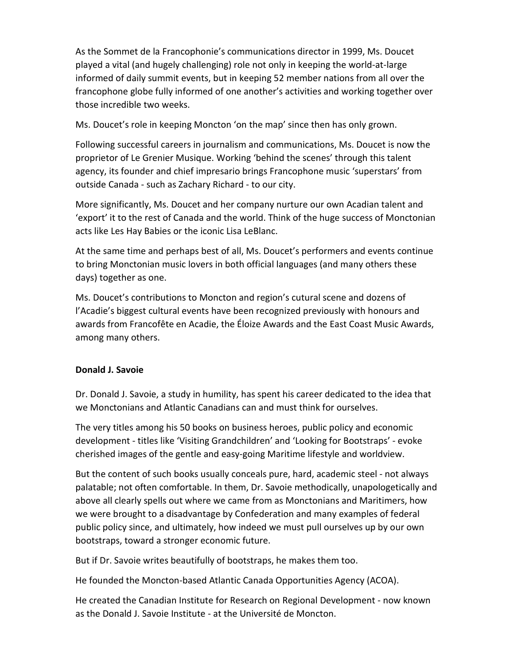As the Sommet de la Francophonie's communications director in 1999, Ms. Doucet played a vital (and hugely challenging) role not only in keeping the world-at-large informed of daily summit events, but in keeping 52 member nations from all over the francophone globe fully informed of one another's activities and working together over those incredible two weeks.

Ms. Doucet's role in keeping Moncton 'on the map' since then has only grown.

Following successful careers in journalism and communications, Ms. Doucet is now the proprietor of Le Grenier Musique. Working 'behind the scenes' through this talent agency, its founder and chief impresario brings Francophone music 'superstars' from outside Canada - such as Zachary Richard - to our city.

More significantly, Ms. Doucet and her company nurture our own Acadian talent and 'export' it to the rest of Canada and the world. Think of the huge success of Monctonian acts like Les Hay Babies or the iconic Lisa LeBlanc.

At the same time and perhaps best of all, Ms. Doucet's performers and events continue to bring Monctonian music lovers in both official languages (and many others these days) together as one.

Ms. Doucet's contributions to Moncton and region's cutural scene and dozens of l'Acadie's biggest cultural events have been recognized previously with honours and awards from Francofête en Acadie, the Éloize Awards and the East Coast Music Awards, among many others.

### **Donald J. Savoie**

Dr. Donald J. Savoie, a study in humility, has spent his career dedicated to the idea that we Monctonians and Atlantic Canadians can and must think for ourselves.

The very titles among his 50 books on business heroes, public policy and economic development - titles like 'Visiting Grandchildren' and 'Looking for Bootstraps' - evoke cherished images of the gentle and easy-going Maritime lifestyle and worldview.

But the content of such books usually conceals pure, hard, academic steel - not always palatable; not often comfortable. In them, Dr. Savoie methodically, unapologetically and above all clearly spells out where we came from as Monctonians and Maritimers, how we were brought to a disadvantage by Confederation and many examples of federal public policy since, and ultimately, how indeed we must pull ourselves up by our own bootstraps, toward a stronger economic future.

But if Dr. Savoie writes beautifully of bootstraps, he makes them too.

He founded the Moncton-based Atlantic Canada Opportunities Agency (ACOA).

He created the Canadian Institute for Research on Regional Development - now known as the Donald J. Savoie Institute - at the Université de Moncton.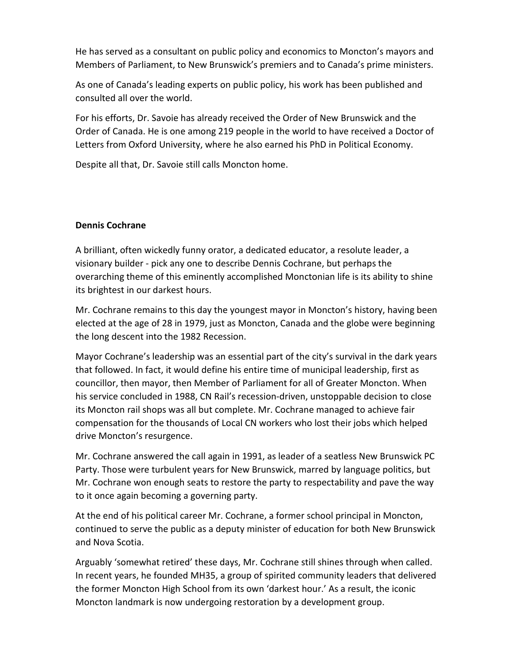He has served as a consultant on public policy and economics to Moncton's mayors and Members of Parliament, to New Brunswick's premiers and to Canada's prime ministers.

As one of Canada's leading experts on public policy, his work has been published and consulted all over the world.

For his efforts, Dr. Savoie has already received the Order of New Brunswick and the Order of Canada. He is one among 219 people in the world to have received a Doctor of Letters from Oxford University, where he also earned his PhD in Political Economy.

Despite all that, Dr. Savoie still calls Moncton home.

#### **Dennis Cochrane**

A brilliant, often wickedly funny orator, a dedicated educator, a resolute leader, a visionary builder - pick any one to describe Dennis Cochrane, but perhaps the overarching theme of this eminently accomplished Monctonian life is its ability to shine its brightest in our darkest hours.

Mr. Cochrane remains to this day the youngest mayor in Moncton's history, having been elected at the age of 28 in 1979, just as Moncton, Canada and the globe were beginning the long descent into the 1982 Recession.

Mayor Cochrane's leadership was an essential part of the city's survival in the dark years that followed. In fact, it would define his entire time of municipal leadership, first as councillor, then mayor, then Member of Parliament for all of Greater Moncton. When his service concluded in 1988, CN Rail's recession-driven, unstoppable decision to close its Moncton rail shops was all but complete. Mr. Cochrane managed to achieve fair compensation for the thousands of Local CN workers who lost their jobs which helped drive Moncton's resurgence.

Mr. Cochrane answered the call again in 1991, as leader of a seatless New Brunswick PC Party. Those were turbulent years for New Brunswick, marred by language politics, but Mr. Cochrane won enough seats to restore the party to respectability and pave the way to it once again becoming a governing party.

At the end of his political career Mr. Cochrane, a former school principal in Moncton, continued to serve the public as a deputy minister of education for both New Brunswick and Nova Scotia.

Arguably 'somewhat retired' these days, Mr. Cochrane still shines through when called. In recent years, he founded MH35, a group of spirited community leaders that delivered the former Moncton High School from its own 'darkest hour.' As a result, the iconic Moncton landmark is now undergoing restoration by a development group.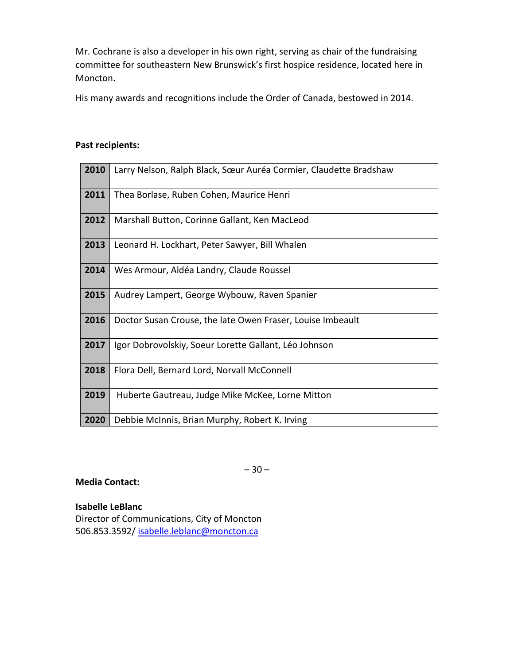Mr. Cochrane is also a developer in his own right, serving as chair of the fundraising committee for southeastern New Brunswick's first hospice residence, located here in Moncton.

His many awards and recognitions include the Order of Canada, bestowed in 2014.

#### **Past recipients:**

| 2010 | Larry Nelson, Ralph Black, Sœur Auréa Cormier, Claudette Bradshaw |
|------|-------------------------------------------------------------------|
| 2011 | Thea Borlase, Ruben Cohen, Maurice Henri                          |
| 2012 | Marshall Button, Corinne Gallant, Ken MacLeod                     |
| 2013 | Leonard H. Lockhart, Peter Sawyer, Bill Whalen                    |
| 2014 | Wes Armour, Aldéa Landry, Claude Roussel                          |
| 2015 | Audrey Lampert, George Wybouw, Raven Spanier                      |
| 2016 | Doctor Susan Crouse, the late Owen Fraser, Louise Imbeault        |
| 2017 | Igor Dobrovolskiy, Soeur Lorette Gallant, Léo Johnson             |
| 2018 | Flora Dell, Bernard Lord, Norvall McConnell                       |
| 2019 | Huberte Gautreau, Judge Mike McKee, Lorne Mitton                  |
| 2020 | Debbie McInnis, Brian Murphy, Robert K. Irving                    |

 $-30-$ 

#### **Media Contact:**

**Isabelle LeBlanc**

Director of Communications, City of Moncton 506.853.3592/ [isabelle.leblanc@moncton.ca](mailto:isabelle.leblanc@moncton.ca)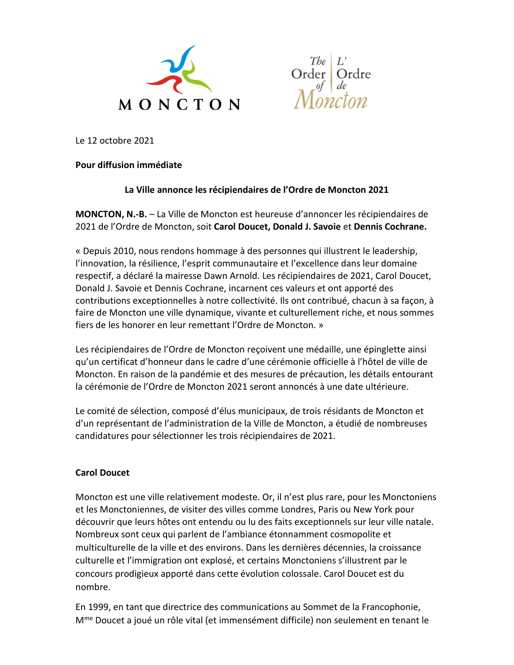



Le 12 octobre 2021

#### **Pour diffusion immédiate**

### **La Ville annonce les récipiendaires de l'Ordre de Moncton 2021**

**MONCTON, N.-B.** – La Ville de Moncton est heureuse d'annoncer les récipiendaires de 2021 de l'Ordre de Moncton, soit **Carol Doucet, Donald J. Savoie** et **Dennis Cochrane.** 

« Depuis 2010, nous rendons hommage à des personnes qui illustrent le leadership, l'innovation, la résilience, l'esprit communautaire et l'excellence dans leur domaine respectif, a déclaré la mairesse Dawn Arnold. Les récipiendaires de 2021, Carol Doucet, Donald J. Savoie et Dennis Cochrane, incarnent ces valeurs et ont apporté des contributions exceptionnelles à notre collectivité. Ils ont contribué, chacun à sa façon, à faire de Moncton une ville dynamique, vivante et culturellement riche, et nous sommes fiers de les honorer en leur remettant l'Ordre de Moncton. »

Les récipiendaires de l'Ordre de Moncton reçoivent une médaille, une épinglette ainsi qu'un certificat d'honneur dans le cadre d'une cérémonie officielle à l'hôtel de ville de Moncton. En raison de la pandémie et des mesures de précaution, les détails entourant la cérémonie de l'Ordre de Moncton 2021 seront annoncés à une date ultérieure.

Le comité de sélection, composé d'élus municipaux, de trois résidants de Moncton et d'un représentant de l'administration de la Ville de Moncton, a étudié de nombreuses candidatures pour sélectionner les trois récipiendaires de 2021.

### **Carol Doucet**

Moncton est une ville relativement modeste. Or, il n'est plus rare, pour les Monctoniens et les Monctoniennes, de visiter des villes comme Londres, Paris ou New York pour découvrir que leurs hôtes ont entendu ou lu des faits exceptionnels sur leur ville natale. Nombreux sont ceux qui parlent de l'ambiance étonnamment cosmopolite et multiculturelle de la ville et des environs. Dans les dernières décennies, la croissance culturelle et l'immigration ont explosé, et certains Monctoniens s'illustrent par le concours prodigieux apporté dans cette évolution colossale. Carol Doucet est du nombre.

En 1999, en tant que directrice des communications au Sommet de la Francophonie, Mme Doucet a joué un rôle vital (et immensément difficile) non seulement en tenant le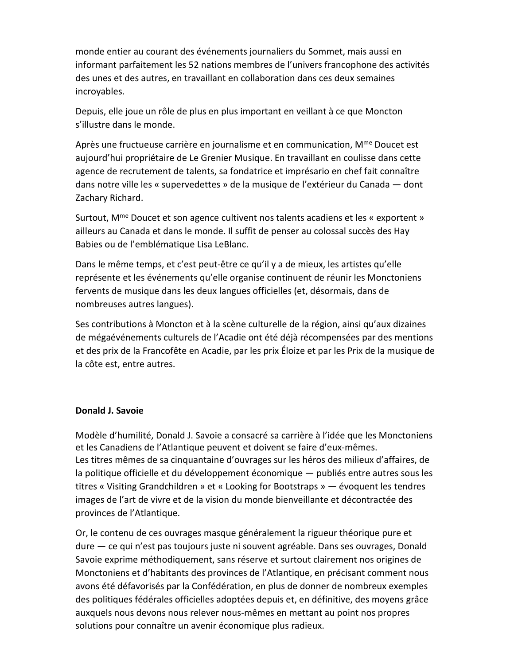monde entier au courant des événements journaliers du Sommet, mais aussi en informant parfaitement les 52 nations membres de l'univers francophone des activités des unes et des autres, en travaillant en collaboration dans ces deux semaines incroyables.

Depuis, elle joue un rôle de plus en plus important en veillant à ce que Moncton s'illustre dans le monde.

Après une fructueuse carrière en journalisme et en communication, M<sup>me</sup> Doucet est aujourd'hui propriétaire de Le Grenier Musique. En travaillant en coulisse dans cette agence de recrutement de talents, sa fondatrice et imprésario en chef fait connaître dans notre ville les « supervedettes » de la musique de l'extérieur du Canada — dont Zachary Richard.

Surtout, M<sup>me</sup> Doucet et son agence cultivent nos talents acadiens et les « exportent » ailleurs au Canada et dans le monde. Il suffit de penser au colossal succès des Hay Babies ou de l'emblématique Lisa LeBlanc.

Dans le même temps, et c'est peut-être ce qu'il y a de mieux, les artistes qu'elle représente et les événements qu'elle organise continuent de réunir les Monctoniens fervents de musique dans les deux langues officielles (et, désormais, dans de nombreuses autres langues).

Ses contributions à Moncton et à la scène culturelle de la région, ainsi qu'aux dizaines de mégaévénements culturels de l'Acadie ont été déjà récompensées par des mentions et des prix de la Francofête en Acadie, par les prix Éloize et par les Prix de la musique de la côte est, entre autres.

#### **Donald J. Savoie**

Modèle d'humilité, Donald J. Savoie a consacré sa carrière à l'idée que les Monctoniens et les Canadiens de l'Atlantique peuvent et doivent se faire d'eux-mêmes. Les titres mêmes de sa cinquantaine d'ouvrages sur les héros des milieux d'affaires, de la politique officielle et du développement économique — publiés entre autres sous les titres « Visiting Grandchildren » et « Looking for Bootstraps » — évoquent les tendres images de l'art de vivre et de la vision du monde bienveillante et décontractée des provinces de l'Atlantique.

Or, le contenu de ces ouvrages masque généralement la rigueur théorique pure et dure — ce qui n'est pas toujours juste ni souvent agréable. Dans ses ouvrages, Donald Savoie exprime méthodiquement, sans réserve et surtout clairement nos origines de Monctoniens et d'habitants des provinces de l'Atlantique, en précisant comment nous avons été défavorisés par la Confédération, en plus de donner de nombreux exemples des politiques fédérales officielles adoptées depuis et, en définitive, des moyens grâce auxquels nous devons nous relever nous-mêmes en mettant au point nos propres solutions pour connaître un avenir économique plus radieux.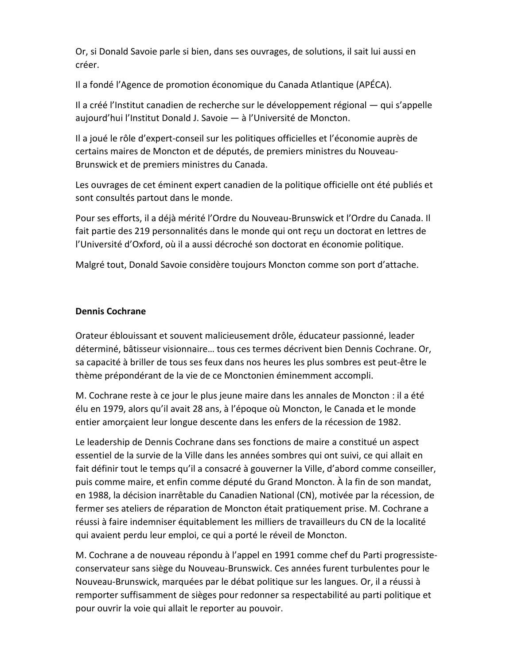Or, si Donald Savoie parle si bien, dans ses ouvrages, de solutions, il sait lui aussi en créer.

Il a fondé l'Agence de promotion économique du Canada Atlantique (APÉCA).

Il a créé l'Institut canadien de recherche sur le développement régional — qui s'appelle aujourd'hui l'Institut Donald J. Savoie - à l'Université de Moncton.

Il a joué le rôle d'expert-conseil sur les politiques officielles et l'économie auprès de certains maires de Moncton et de députés, de premiers ministres du Nouveau-Brunswick et de premiers ministres du Canada.

Les ouvrages de cet éminent expert canadien de la politique officielle ont été publiés et sont consultés partout dans le monde.

Pour ses efforts, il a déjà mérité l'Ordre du Nouveau-Brunswick et l'Ordre du Canada. Il fait partie des 219 personnalités dans le monde qui ont reçu un doctorat en lettres de l'Université d'Oxford, où il a aussi décroché son doctorat en économie politique.

Malgré tout, Donald Savoie considère toujours Moncton comme son port d'attache.

#### **Dennis Cochrane**

Orateur éblouissant et souvent malicieusement drôle, éducateur passionné, leader déterminé, bâtisseur visionnaire… tous ces termes décrivent bien Dennis Cochrane. Or, sa capacité à briller de tous ses feux dans nos heures les plus sombres est peut-être le thème prépondérant de la vie de ce Monctonien éminemment accompli.

M. Cochrane reste à ce jour le plus jeune maire dans les annales de Moncton : il a été élu en 1979, alors qu'il avait 28 ans, à l'époque où Moncton, le Canada et le monde entier amorçaient leur longue descente dans les enfers de la récession de 1982.

Le leadership de Dennis Cochrane dans ses fonctions de maire a constitué un aspect essentiel de la survie de la Ville dans les années sombres qui ont suivi, ce qui allait en fait définir tout le temps qu'il a consacré à gouverner la Ville, d'abord comme conseiller, puis comme maire, et enfin comme député du Grand Moncton. À la fin de son mandat, en 1988, la décision inarrêtable du Canadien National (CN), motivée par la récession, de fermer ses ateliers de réparation de Moncton était pratiquement prise. M. Cochrane a réussi à faire indemniser équitablement les milliers de travailleurs du CN de la localité qui avaient perdu leur emploi, ce qui a porté le réveil de Moncton.

M. Cochrane a de nouveau répondu à l'appel en 1991 comme chef du Parti progressisteconservateur sans siège du Nouveau-Brunswick. Ces années furent turbulentes pour le Nouveau-Brunswick, marquées par le débat politique sur les langues. Or, il a réussi à remporter suffisamment de sièges pour redonner sa respectabilité au parti politique et pour ouvrir la voie qui allait le reporter au pouvoir.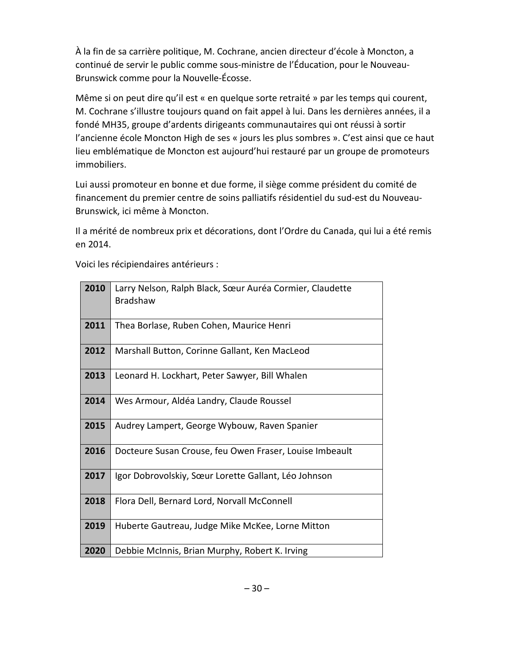À la fin de sa carrière politique, M. Cochrane, ancien directeur d'école à Moncton, a continué de servir le public comme sous-ministre de l'Éducation, pour le Nouveau-Brunswick comme pour la Nouvelle-Écosse.

Même si on peut dire qu'il est « en quelque sorte retraité » par les temps qui courent, M. Cochrane s'illustre toujours quand on fait appel à lui. Dans les dernières années, il a fondé MH35, groupe d'ardents dirigeants communautaires qui ont réussi à sortir l'ancienne école Moncton High de ses « jours les plus sombres ». C'est ainsi que ce haut lieu emblématique de Moncton est aujourd'hui restauré par un groupe de promoteurs immobiliers.

Lui aussi promoteur en bonne et due forme, il siège comme président du comité de financement du premier centre de soins palliatifs résidentiel du sud-est du Nouveau-Brunswick, ici même à Moncton.

Il a mérité de nombreux prix et décorations, dont l'Ordre du Canada, qui lui a été remis en 2014.

Voici les récipiendaires antérieurs :

| 2010 | Larry Nelson, Ralph Black, Sœur Auréa Cormier, Claudette<br><b>Bradshaw</b> |
|------|-----------------------------------------------------------------------------|
| 2011 | Thea Borlase, Ruben Cohen, Maurice Henri                                    |
| 2012 | Marshall Button, Corinne Gallant, Ken MacLeod                               |
| 2013 | Leonard H. Lockhart, Peter Sawyer, Bill Whalen                              |
| 2014 | Wes Armour, Aldéa Landry, Claude Roussel                                    |
| 2015 | Audrey Lampert, George Wybouw, Raven Spanier                                |
| 2016 | Docteure Susan Crouse, feu Owen Fraser, Louise Imbeault                     |
| 2017 | Igor Dobrovolskiy, Sœur Lorette Gallant, Léo Johnson                        |
| 2018 | Flora Dell, Bernard Lord, Norvall McConnell                                 |
| 2019 | Huberte Gautreau, Judge Mike McKee, Lorne Mitton                            |
| 2020 | Debbie McInnis, Brian Murphy, Robert K. Irving                              |